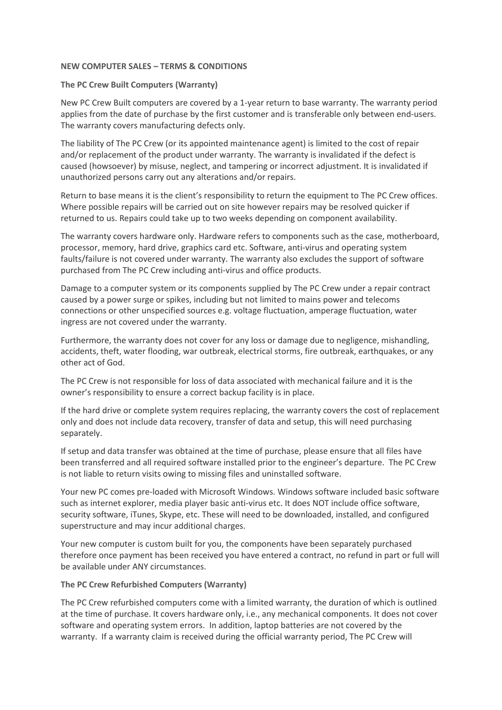## **NEW COMPUTER SALES – TERMS & CONDITIONS**

## **The PC Crew Built Computers (Warranty)**

New PC Crew Built computers are covered by a 1-year return to base warranty. The warranty period applies from the date of purchase by the first customer and is transferable only between end-users. The warranty covers manufacturing defects only.

The liability of The PC Crew (or its appointed maintenance agent) is limited to the cost of repair and/or replacement of the product under warranty. The warranty is invalidated if the defect is caused (howsoever) by misuse, neglect, and tampering or incorrect adjustment. It is invalidated if unauthorized persons carry out any alterations and/or repairs.

Return to base means it is the client's responsibility to return the equipment to The PC Crew offices. Where possible repairs will be carried out on site however repairs may be resolved quicker if returned to us. Repairs could take up to two weeks depending on component availability.

The warranty covers hardware only. Hardware refers to components such as the case, motherboard, processor, memory, hard drive, graphics card etc. Software, anti-virus and operating system faults/failure is not covered under warranty. The warranty also excludes the support of software purchased from The PC Crew including anti-virus and office products.

Damage to a computer system or its components supplied by The PC Crew under a repair contract caused by a power surge or spikes, including but not limited to mains power and telecoms connections or other unspecified sources e.g. voltage fluctuation, amperage fluctuation, water ingress are not covered under the warranty.

Furthermore, the warranty does not cover for any loss or damage due to negligence, mishandling, accidents, theft, water flooding, war outbreak, electrical storms, fire outbreak, earthquakes, or any other act of God.

The PC Crew is not responsible for loss of data associated with mechanical failure and it is the owner's responsibility to ensure a correct backup facility is in place.

If the hard drive or complete system requires replacing, the warranty covers the cost of replacement only and does not include data recovery, transfer of data and setup, this will need purchasing separately.

If setup and data transfer was obtained at the time of purchase, please ensure that all files have been transferred and all required software installed prior to the engineer's departure. The PC Crew is not liable to return visits owing to missing files and uninstalled software.

Your new PC comes pre-loaded with Microsoft Windows. Windows software included basic software such as internet explorer, media player basic anti-virus etc. It does NOT include office software, security software, iTunes, Skype, etc. These will need to be downloaded, installed, and configured superstructure and may incur additional charges.

Your new computer is custom built for you, the components have been separately purchased therefore once payment has been received you have entered a contract, no refund in part or full will be available under ANY circumstances.

# **The PC Crew Refurbished Computers (Warranty)**

The PC Crew refurbished computers come with a limited warranty, the duration of which is outlined at the time of purchase. It covers hardware only, i.e., any mechanical components. It does not cover software and operating system errors. In addition, laptop batteries are not covered by the warranty. If a warranty claim is received during the official warranty period, The PC Crew will